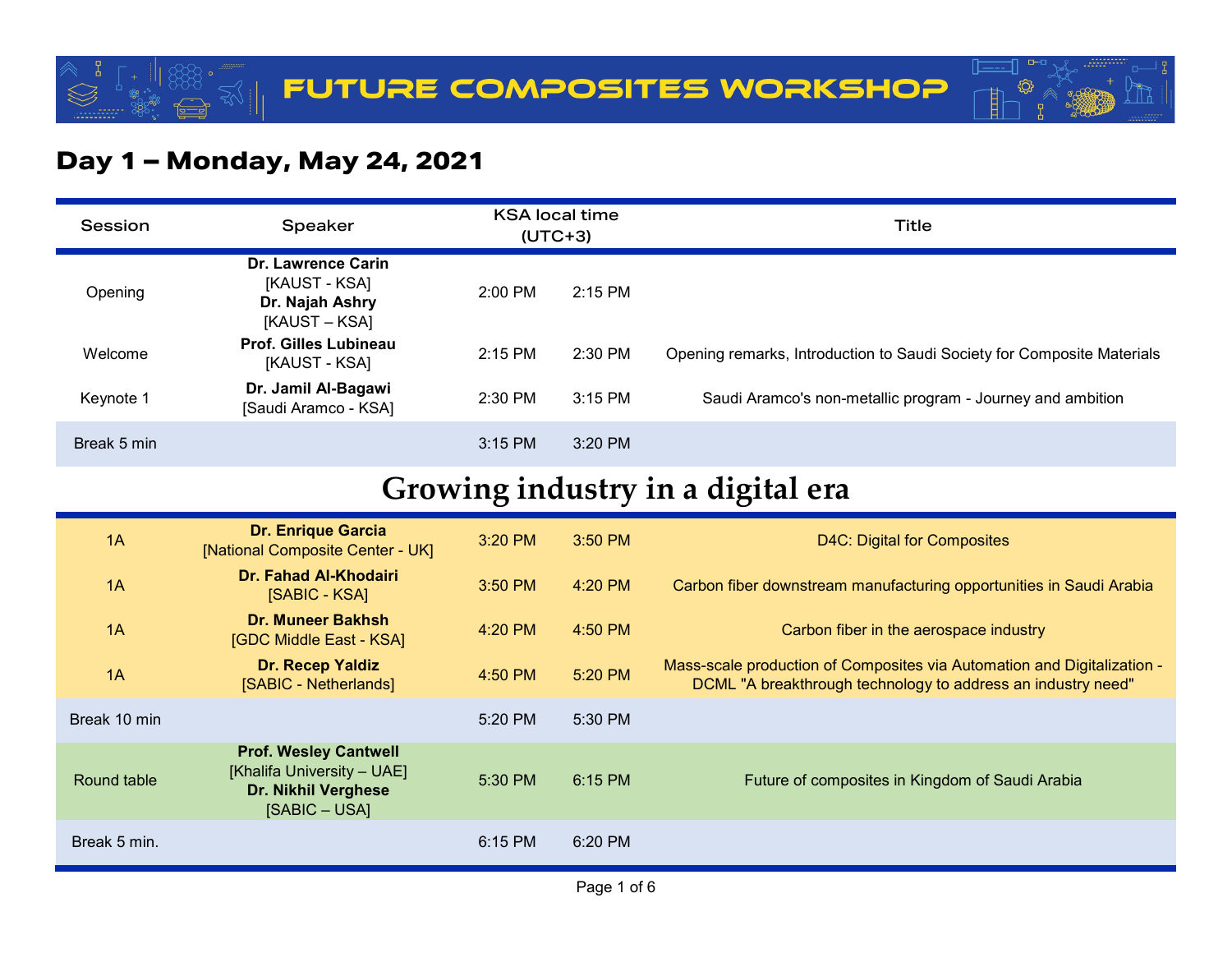

#### **Day 1 – Monday, May 24, 2021**

| Session     | <b>Speaker</b>                                                          | <b>KSA local time</b><br>$(UTC+3)$ |           | Title                                                                  |
|-------------|-------------------------------------------------------------------------|------------------------------------|-----------|------------------------------------------------------------------------|
| Opening     | Dr. Lawrence Carin<br>[KAUST - KSA]<br>Dr. Najah Ashry<br>[KAUST – KSA] | 2:00 PM                            | $2:15$ PM |                                                                        |
| Welcome     | Prof. Gilles Lubineau<br>[KAUST - KSA]                                  | $2:15$ PM                          | $2:30$ PM | Opening remarks, Introduction to Saudi Society for Composite Materials |
| Keynote 1   | Dr. Jamil Al-Bagawi<br>[Saudi Aramco - KSA]                             | $2:30$ PM                          | $3:15$ PM | Saudi Aramco's non-metallic program - Journey and ambition             |
| Break 5 min |                                                                         | $3:15$ PM                          | $3:20$ PM |                                                                        |

### **Growing industry in a digital era**

| 1A           | <b>Dr. Enrique Garcia</b><br>[National Composite Center - UK]                                      | $3:20$ PM | $3:50$ PM | D4C: Digital for Composites                                                                                                             |
|--------------|----------------------------------------------------------------------------------------------------|-----------|-----------|-----------------------------------------------------------------------------------------------------------------------------------------|
| 1A           | Dr. Fahad Al-Khodairi<br>[SABIC - KSA]                                                             | $3:50$ PM | $4:20$ PM | Carbon fiber downstream manufacturing opportunities in Saudi Arabia                                                                     |
| 1A           | Dr. Muneer Bakhsh<br>[GDC Middle East - KSA]                                                       | $4:20$ PM | $4:50$ PM | Carbon fiber in the aerospace industry                                                                                                  |
| 1A           | Dr. Recep Yaldiz<br>[SABIC - Netherlands]                                                          | $4:50$ PM | 5:20 PM   | Mass-scale production of Composites via Automation and Digitalization -<br>DCML "A breakthrough technology to address an industry need" |
| Break 10 min |                                                                                                    | 5:20 PM   | 5:30 PM   |                                                                                                                                         |
| Round table  | <b>Prof. Wesley Cantwell</b><br>[Khalifa University - UAE]<br>Dr. Nikhil Verghese<br>[SABIC – USA] | $5:30$ PM | $6:15$ PM | Future of composites in Kingdom of Saudi Arabia                                                                                         |
| Break 5 min. |                                                                                                    | $6:15$ PM | 6:20 PM   |                                                                                                                                         |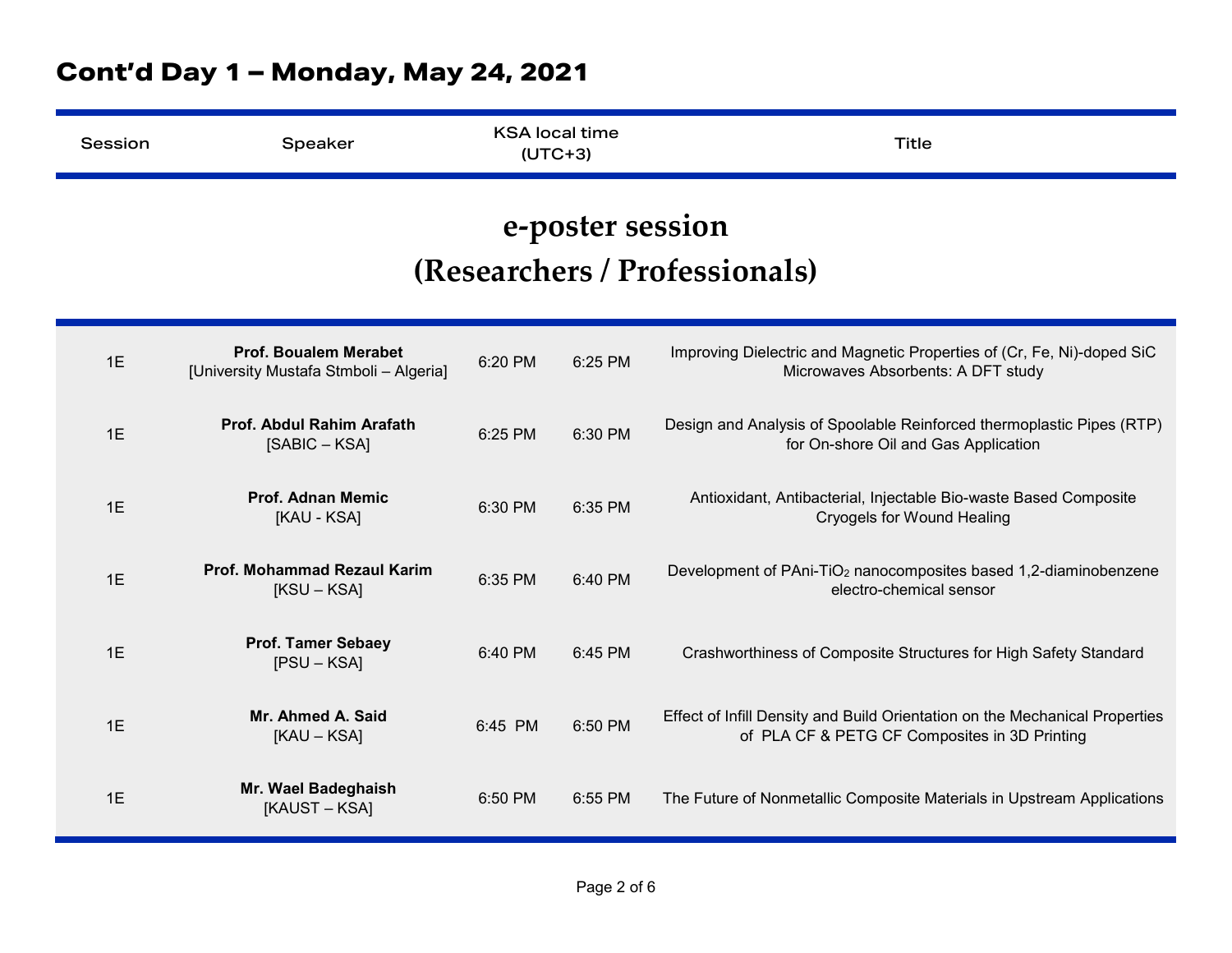| Session | Speaker                                                                | <b>KSA local time</b><br>$(UTC+3)$ |                  | <b>Title</b>                                                                                                                 |
|---------|------------------------------------------------------------------------|------------------------------------|------------------|------------------------------------------------------------------------------------------------------------------------------|
|         |                                                                        |                                    | e-poster session | (Researchers / Professionals)                                                                                                |
| 1E      | <b>Prof. Boualem Merabet</b><br>[University Mustafa Stmboli - Algeria] | 6:20 PM                            | 6:25 PM          | Improving Dielectric and Magnetic Properties of (Cr, Fe, Ni)-doped SiC<br>Microwaves Absorbents: A DFT study                 |
| 1E      | Prof. Abdul Rahim Arafath<br>[SABIC – KSA]                             | 6:25 PM                            | 6:30 PM          | Design and Analysis of Spoolable Reinforced thermoplastic Pipes (RTP)<br>for On-shore Oil and Gas Application                |
| 1E      | <b>Prof. Adnan Memic</b><br>[KAU - KSA]                                | 6:30 PM                            | 6:35 PM          | Antioxidant, Antibacterial, Injectable Bio-waste Based Composite<br><b>Cryogels for Wound Healing</b>                        |
| 1E      | <b>Prof. Mohammad Rezaul Karim</b><br>$[KSU - KSA]$                    | 6:35 PM                            | 6:40 PM          | Development of PAni-TiO <sub>2</sub> nanocomposites based 1,2-diaminobenzene<br>electro-chemical sensor                      |
| 1E      | <b>Prof. Tamer Sebaey</b><br>$[PSU - KSA]$                             | 6:40 PM                            | 6:45 PM          | Crashworthiness of Composite Structures for High Safety Standard                                                             |
| 1E      | Mr. Ahmed A. Said<br>[KAU - KSA]                                       | 6:45 PM                            | 6:50 PM          | Effect of Infill Density and Build Orientation on the Mechanical Properties<br>of PLA CF & PETG CF Composites in 3D Printing |
| 1E      | Mr. Wael Badeghaish<br>[KAUST – KSA]                                   | 6:50 PM                            | 6:55 PM          | The Future of Nonmetallic Composite Materials in Upstream Applications                                                       |

### **Cont'd Day 1 – Monday, May 24, 2021**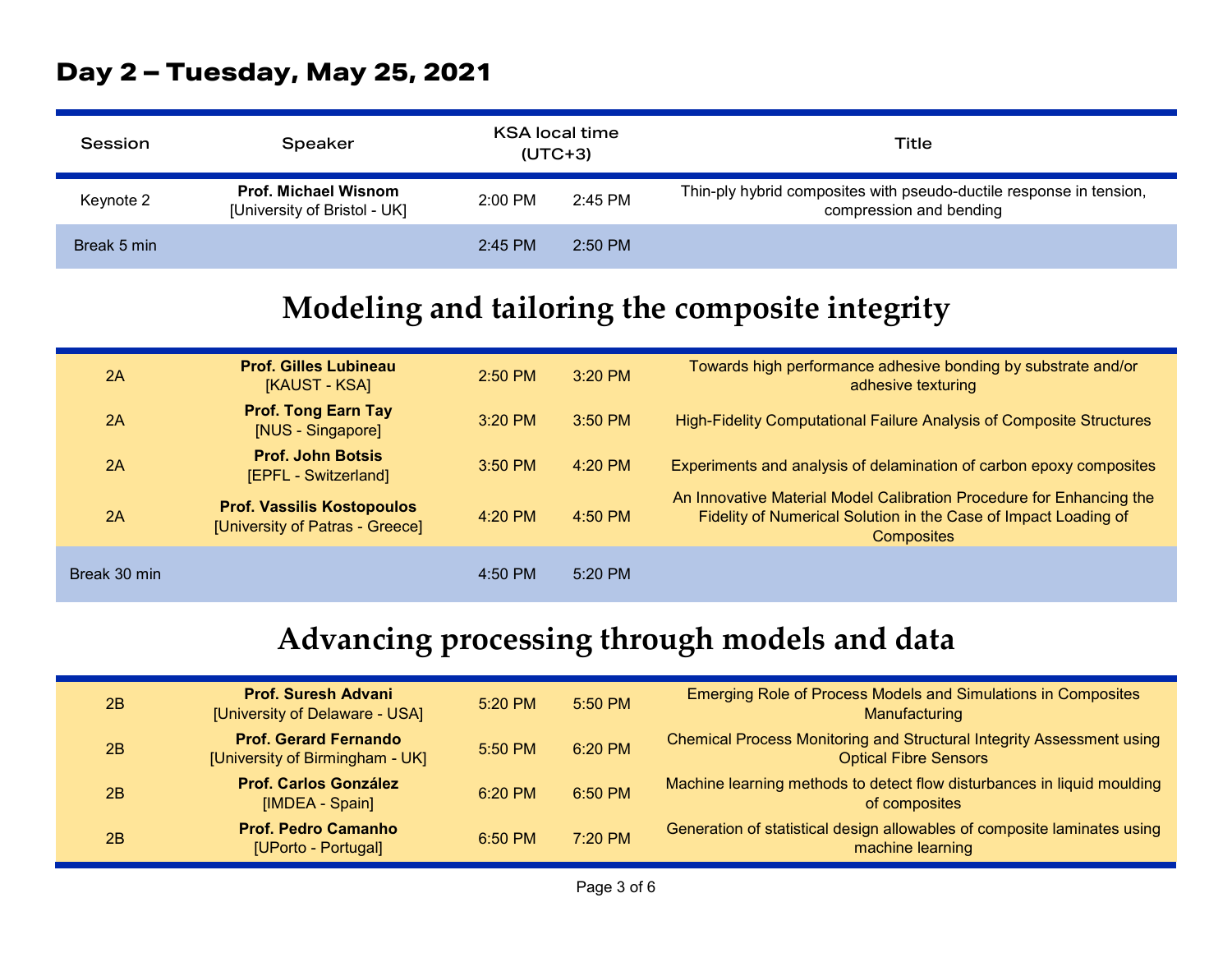#### **Day 2 – Tuesday, May 25, 2021**

| Session     | Speaker                                                     | KSA local time<br>$(UTC+3)$ |           | Title                                                                                          |
|-------------|-------------------------------------------------------------|-----------------------------|-----------|------------------------------------------------------------------------------------------------|
| Keynote 2   | <b>Prof. Michael Wisnom</b><br>[University of Bristol - UK] | $2:00$ PM                   | $2:45$ PM | Thin-ply hybrid composites with pseudo-ductile response in tension,<br>compression and bending |
| Break 5 min |                                                             | $2:45$ PM                   | $2:50$ PM |                                                                                                |

## **Modeling and tailoring the composite integrity**

| 2A           | <b>Prof. Gilles Lubineau</b><br>[KAUST - KSA]                        | $2:50$ PM | $3:20$ PM | Towards high performance adhesive bonding by substrate and/or<br>adhesive texturing                                                                          |
|--------------|----------------------------------------------------------------------|-----------|-----------|--------------------------------------------------------------------------------------------------------------------------------------------------------------|
| 2A           | <b>Prof. Tong Earn Tay</b><br>[NUS - Singapore]                      | $3:20$ PM | $3:50$ PM | High-Fidelity Computational Failure Analysis of Composite Structures                                                                                         |
| 2A           | <b>Prof. John Botsis</b><br>[EPFL - Switzerland]                     | $3:50$ PM | $4:20$ PM | Experiments and analysis of delamination of carbon epoxy composites                                                                                          |
| 2A           | <b>Prof. Vassilis Kostopoulos</b><br>[University of Patras - Greece] | $4:20$ PM | $4:50$ PM | An Innovative Material Model Calibration Procedure for Enhancing the<br>Fidelity of Numerical Solution in the Case of Impact Loading of<br><b>Composites</b> |
| Break 30 min |                                                                      | $4:50$ PM | $5:20$ PM |                                                                                                                                                              |

## **Advancing processing through models and data**

| 2B | <b>Prof. Suresh Advani</b><br>[University of Delaware - USA]    | $5:20$ PM | $5:50$ PM | <b>Emerging Role of Process Models and Simulations in Composites</b><br>Manufacturing                 |
|----|-----------------------------------------------------------------|-----------|-----------|-------------------------------------------------------------------------------------------------------|
| 2B | <b>Prof. Gerard Fernando</b><br>[University of Birmingham - UK] | $5:50$ PM | 6:20 PM   | Chemical Process Monitoring and Structural Integrity Assessment using<br><b>Optical Fibre Sensors</b> |
| 2B | <b>Prof. Carlos González</b><br>[IMDEA - Spain]                 | $6:20$ PM | $6:50$ PM | Machine learning methods to detect flow disturbances in liquid moulding<br>of composites              |
| 2B | <b>Prof. Pedro Camanho</b><br>[UPorto - Portugal]               | $6:50$ PM | 7:20 PM   | Generation of statistical design allowables of composite laminates using<br>machine learning          |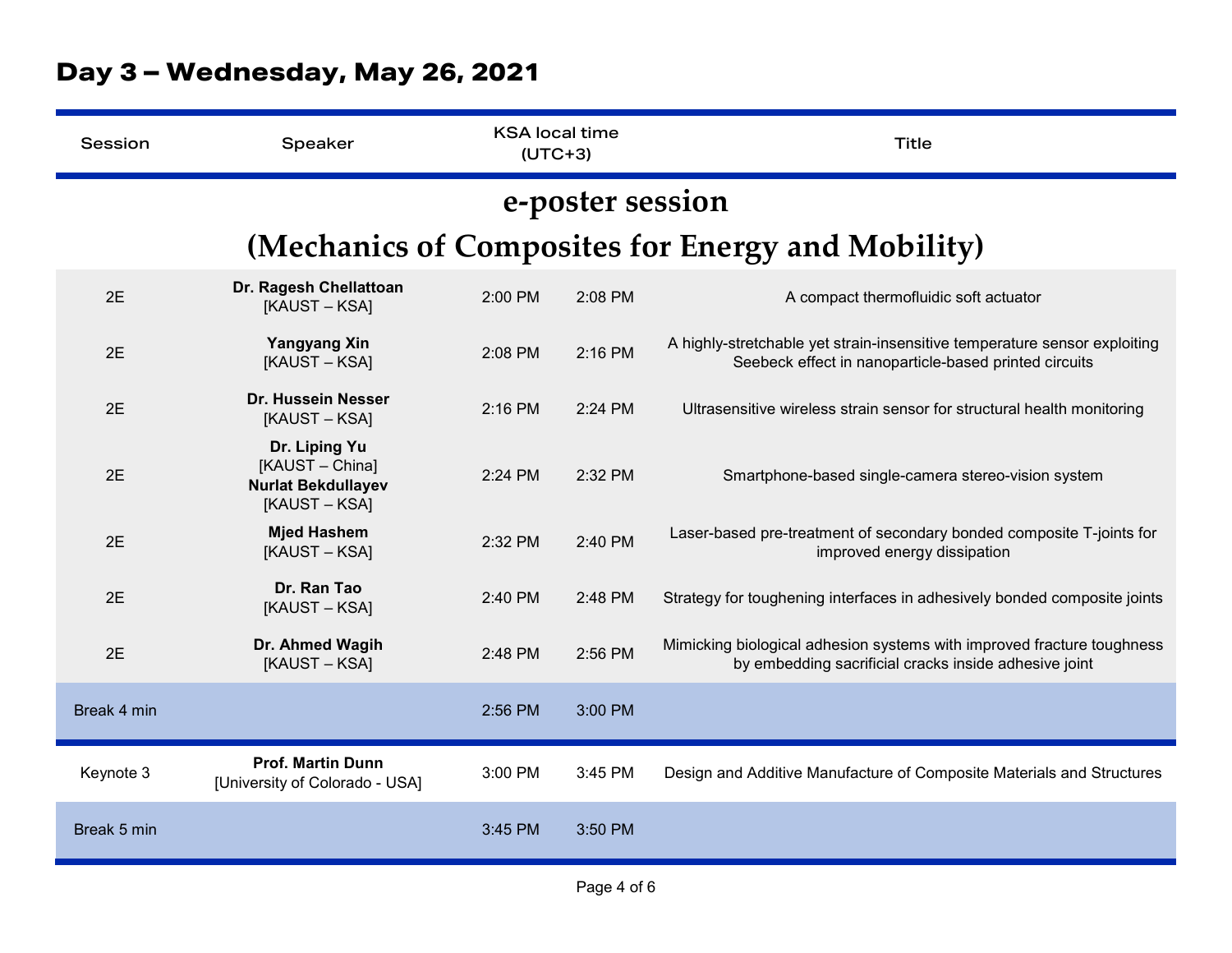| Session                                           | Speaker                                                                        | <b>KSA local time</b><br>$(UTC+3)$ |         | <b>Title</b>                                                                                                                       |  |  |  |  |
|---------------------------------------------------|--------------------------------------------------------------------------------|------------------------------------|---------|------------------------------------------------------------------------------------------------------------------------------------|--|--|--|--|
| e-poster session                                  |                                                                                |                                    |         |                                                                                                                                    |  |  |  |  |
| (Mechanics of Composites for Energy and Mobility) |                                                                                |                                    |         |                                                                                                                                    |  |  |  |  |
| 2E                                                | Dr. Ragesh Chellattoan<br>[KAUST – KSA]                                        | 2:00 PM                            | 2:08 PM | A compact thermofluidic soft actuator                                                                                              |  |  |  |  |
| 2E                                                | <b>Yangyang Xin</b><br>[KAUST – KSA]                                           | 2:08 PM                            | 2:16 PM | A highly-stretchable yet strain-insensitive temperature sensor exploiting<br>Seebeck effect in nanoparticle-based printed circuits |  |  |  |  |
| 2E                                                | Dr. Hussein Nesser<br>[KAUST – KSA]                                            | 2:16 PM                            | 2:24 PM | Ultrasensitive wireless strain sensor for structural health monitoring                                                             |  |  |  |  |
| 2E                                                | Dr. Liping Yu<br>[KAUST - China]<br><b>Nurlat Bekdullayev</b><br>[KAUST – KSA] | 2:24 PM                            | 2:32 PM | Smartphone-based single-camera stereo-vision system                                                                                |  |  |  |  |
| 2E                                                | <b>Mjed Hashem</b><br>[KAUST – KSA]                                            | 2:32 PM                            | 2:40 PM | Laser-based pre-treatment of secondary bonded composite T-joints for<br>improved energy dissipation                                |  |  |  |  |
| 2E                                                | Dr. Ran Tao<br>[KAUST – KSA]                                                   | 2:40 PM                            | 2:48 PM | Strategy for toughening interfaces in adhesively bonded composite joints                                                           |  |  |  |  |
| 2E                                                | Dr. Ahmed Wagih<br>[KAUST-KSA]                                                 | 2:48 PM                            | 2:56 PM | Mimicking biological adhesion systems with improved fracture toughness<br>by embedding sacrificial cracks inside adhesive joint    |  |  |  |  |
| Break 4 min                                       |                                                                                | 2:56 PM                            | 3:00 PM |                                                                                                                                    |  |  |  |  |
| Keynote 3                                         | <b>Prof. Martin Dunn</b><br>[University of Colorado - USA]                     | 3:00 PM                            | 3:45 PM | Design and Additive Manufacture of Composite Materials and Structures                                                              |  |  |  |  |
| Break 5 min                                       |                                                                                | 3:45 PM                            | 3:50 PM |                                                                                                                                    |  |  |  |  |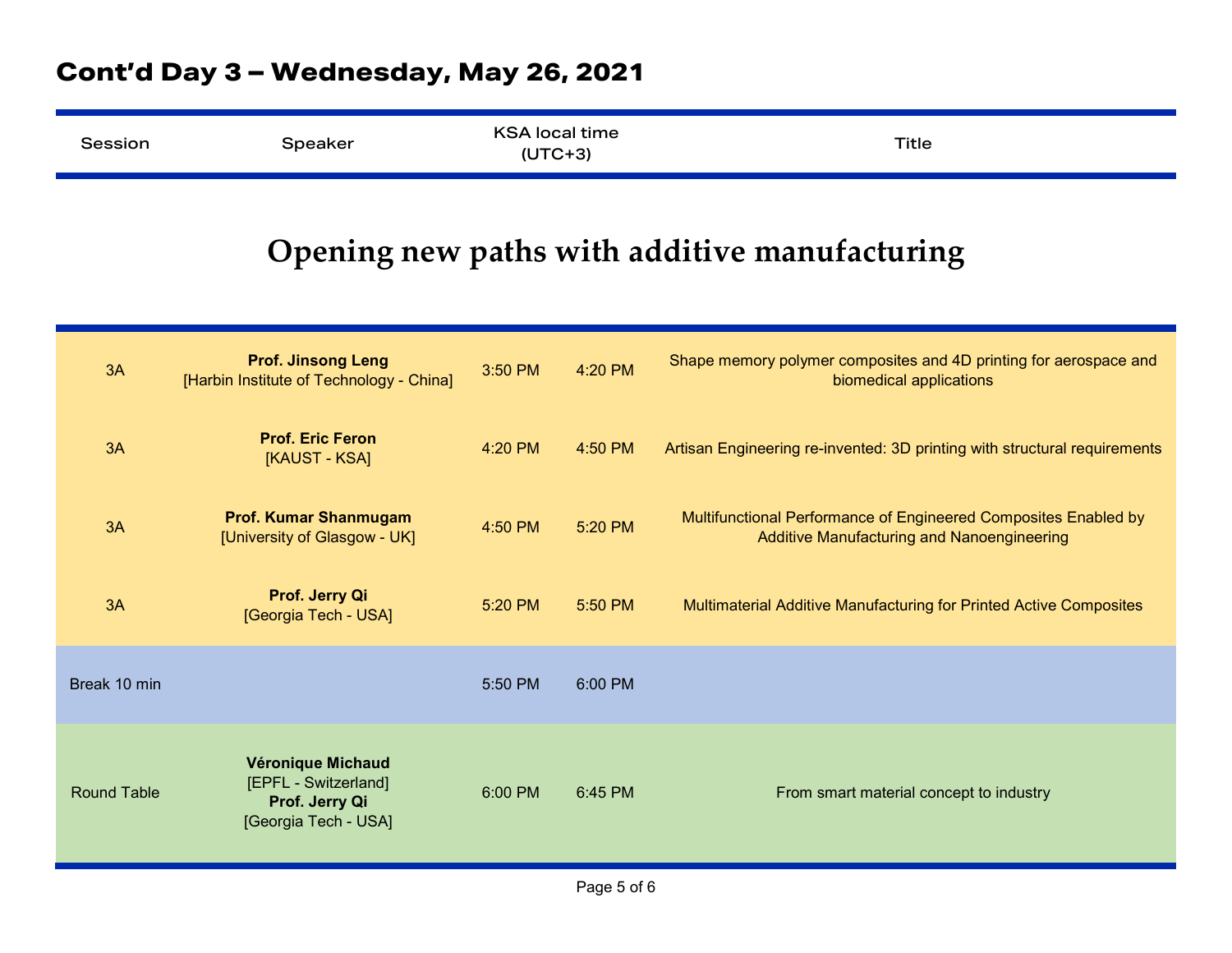#### **Cont'd Day 3 – Wednesday, May 26, 2021**

| Session | Speaker | <b>KSA local time</b><br>$(UTC+3)$ | Title |  |
|---------|---------|------------------------------------|-------|--|
|---------|---------|------------------------------------|-------|--|

## **Opening new paths with additive manufacturing**

| 3A                 | <b>Prof. Jinsong Leng</b><br>[Harbin Institute of Technology - China]               | 3:50 PM | 4:20 PM | Shape memory polymer composites and 4D printing for aerospace and<br>biomedical applications                  |
|--------------------|-------------------------------------------------------------------------------------|---------|---------|---------------------------------------------------------------------------------------------------------------|
| 3A                 | <b>Prof. Eric Feron</b><br>[KAUST - KSA]                                            | 4:20 PM | 4:50 PM | Artisan Engineering re-invented: 3D printing with structural requirements                                     |
| 3A                 | <b>Prof. Kumar Shanmugam</b><br>[University of Glasgow - UK]                        | 4:50 PM | 5:20 PM | Multifunctional Performance of Engineered Composites Enabled by<br>Additive Manufacturing and Nanoengineering |
| 3A                 | Prof. Jerry Qi<br>[Georgia Tech - USA]                                              | 5:20 PM | 5:50 PM | Multimaterial Additive Manufacturing for Printed Active Composites                                            |
| Break 10 min       |                                                                                     | 5:50 PM | 6:00 PM |                                                                                                               |
| <b>Round Table</b> | Véronique Michaud<br>[EPFL - Switzerland]<br>Prof. Jerry Qi<br>[Georgia Tech - USA] | 6:00 PM | 6:45 PM | From smart material concept to industry                                                                       |